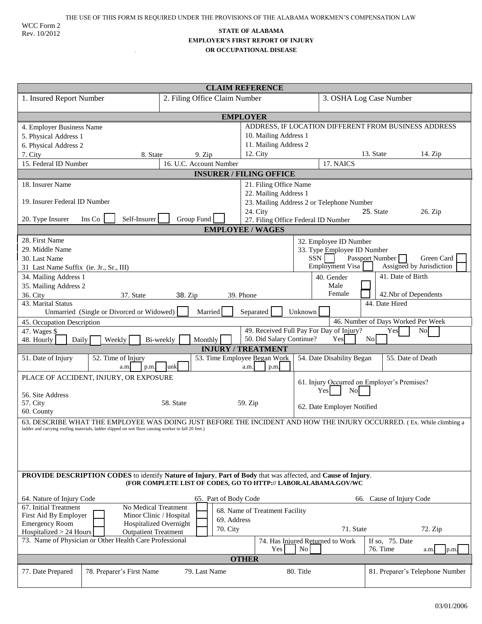WCC Form 2 Rev. 10/2012

 $\ddot{\phantom{a}}$ 

## **STATE OF ALABAMA EMPLOYER'S FIRST REPORT OF INJURY OR OCCUPATIONAL DISEASE**

| <b>CLAIM REFERENCE</b>                                                                                                                                                                                                      |                                                                                                                |                           |                                                                     |                                    |  |  |  |
|-----------------------------------------------------------------------------------------------------------------------------------------------------------------------------------------------------------------------------|----------------------------------------------------------------------------------------------------------------|---------------------------|---------------------------------------------------------------------|------------------------------------|--|--|--|
| 1. Insured Report Number                                                                                                                                                                                                    | 2. Filing Office Claim Number                                                                                  |                           |                                                                     | 3. OSHA Log Case Number            |  |  |  |
| <b>EMPLOYER</b>                                                                                                                                                                                                             |                                                                                                                |                           |                                                                     |                                    |  |  |  |
| ADDRESS, IF LOCATION DIFFERENT FROM BUSINESS ADDRESS<br>4. Employer Business Name                                                                                                                                           |                                                                                                                |                           |                                                                     |                                    |  |  |  |
| 5. Physical Address 1                                                                                                                                                                                                       |                                                                                                                | 10. Mailing Address 1     |                                                                     |                                    |  |  |  |
| 6. Physical Address 2                                                                                                                                                                                                       |                                                                                                                | 11. Mailing Address 2     |                                                                     |                                    |  |  |  |
| 7. City<br>8. State                                                                                                                                                                                                         | 9. Zip                                                                                                         | 12. City                  |                                                                     | 13. State<br>14. Zip               |  |  |  |
| 15. Federal ID Number                                                                                                                                                                                                       | 16. U.C. Account Number                                                                                        |                           | 17. NAICS                                                           |                                    |  |  |  |
| <b>INSURER / FILING OFFICE</b>                                                                                                                                                                                              |                                                                                                                |                           |                                                                     |                                    |  |  |  |
| 18. Insurer Name                                                                                                                                                                                                            |                                                                                                                | 21. Filing Office Name    |                                                                     |                                    |  |  |  |
|                                                                                                                                                                                                                             | 22. Mailing Address 1                                                                                          |                           |                                                                     |                                    |  |  |  |
| 19. Insurer Federal ID Number                                                                                                                                                                                               | 23. Mailing Address 2 or Telephone Number                                                                      |                           |                                                                     |                                    |  |  |  |
| 24. City<br>Self-Insurer<br>Group Fund<br>20. Type Insurer<br>Ins Co                                                                                                                                                        |                                                                                                                |                           | 25. State<br>26. Zip                                                |                                    |  |  |  |
| 27. Filing Office Federal ID Number<br><b>EMPLOYEE / WAGES</b>                                                                                                                                                              |                                                                                                                |                           |                                                                     |                                    |  |  |  |
| 28. First Name                                                                                                                                                                                                              |                                                                                                                |                           |                                                                     |                                    |  |  |  |
| 29. Middle Name                                                                                                                                                                                                             |                                                                                                                |                           | 32. Employee ID Number                                              |                                    |  |  |  |
| 30. Last Name                                                                                                                                                                                                               |                                                                                                                |                           | 33. Type Employee ID Number<br>SSN<br>Passport Number<br>Green Card |                                    |  |  |  |
| 31 Last Name Suffix (ie. Jr., Sr., III)                                                                                                                                                                                     |                                                                                                                |                           | Employment Visa<br>Assigned by Jurisdiction                         |                                    |  |  |  |
| 34. Mailing Address 1                                                                                                                                                                                                       |                                                                                                                |                           | 40. Gender                                                          | 41. Date of Birth                  |  |  |  |
| 35. Mailing Address 2                                                                                                                                                                                                       |                                                                                                                |                           | Male                                                                |                                    |  |  |  |
| 36. City<br>37. State<br>38. Zip<br>39. Phone                                                                                                                                                                               |                                                                                                                |                           | Female                                                              | 42.Nbr of Dependents               |  |  |  |
| 43. Marital Status<br>44. Date Hired<br>Separated<br>Unknown<br>Unmarried (Single or Divorced or Widowed)<br>Married                                                                                                        |                                                                                                                |                           |                                                                     |                                    |  |  |  |
| 45. Occupation Description                                                                                                                                                                                                  |                                                                                                                |                           |                                                                     | 46. Number of Days Worked Per Week |  |  |  |
| 47. Wages \$                                                                                                                                                                                                                |                                                                                                                |                           | 49. Received Full Pay For Day of Injury?                            | Yes<br>No                          |  |  |  |
| 48. Hourly<br>Daily<br>Weekly                                                                                                                                                                                               | Monthly<br>Bi-weekly                                                                                           | 50. Did Salary Continue?  | Yes                                                                 | No                                 |  |  |  |
|                                                                                                                                                                                                                             |                                                                                                                | <b>INJURY / TREATMENT</b> |                                                                     |                                    |  |  |  |
| 51. Date of Injury<br>52. Time of Injury<br>53. Time Employee Began Work<br>54. Date Disability Began<br>55. Date of Death<br>unk<br>a.m<br>a.m<br>p.m.<br>p.m.                                                             |                                                                                                                |                           |                                                                     |                                    |  |  |  |
| PLACE OF ACCIDENT, INJURY, OR EXPOSURE                                                                                                                                                                                      |                                                                                                                |                           |                                                                     |                                    |  |  |  |
|                                                                                                                                                                                                                             |                                                                                                                |                           | 61. Injury Occurred on Employer's Premises?<br>Yes<br>No            |                                    |  |  |  |
| 56. Site Address                                                                                                                                                                                                            |                                                                                                                |                           |                                                                     |                                    |  |  |  |
| 58. State<br>57. City<br>59. Zip                                                                                                                                                                                            |                                                                                                                |                           | 62. Date Employer Notified                                          |                                    |  |  |  |
| 60. County                                                                                                                                                                                                                  |                                                                                                                |                           |                                                                     |                                    |  |  |  |
| 63. DESCRIBE WHAT THE EMPLOYEE WAS DOING JUST BEFORE THE INCIDENT AND HOW THE INJURY OCCURRED. (Ex. While climbing a<br>ladder and carrying roofing materials, ladder slipped on wet floor causing worker to fall 20 feet.) |                                                                                                                |                           |                                                                     |                                    |  |  |  |
|                                                                                                                                                                                                                             |                                                                                                                |                           |                                                                     |                                    |  |  |  |
|                                                                                                                                                                                                                             |                                                                                                                |                           |                                                                     |                                    |  |  |  |
|                                                                                                                                                                                                                             |                                                                                                                |                           |                                                                     |                                    |  |  |  |
|                                                                                                                                                                                                                             |                                                                                                                |                           |                                                                     |                                    |  |  |  |
| PROVIDE DESCRIPTION CODES to identify Nature of Injury, Part of Body that was affected, and Cause of Injury.                                                                                                                |                                                                                                                |                           |                                                                     |                                    |  |  |  |
|                                                                                                                                                                                                                             | (FOR COMPLETE LIST OF CODES, GO TO HTTP:// LABOR.ALABAMA.GOV/WC                                                |                           |                                                                     |                                    |  |  |  |
| 64. Nature of Injury Code                                                                                                                                                                                                   | 65. Part of Body Code                                                                                          |                           | 66.                                                                 | Cause of Injury Code               |  |  |  |
| 67. Initial Treatment<br>No Medical Treatment                                                                                                                                                                               |                                                                                                                |                           |                                                                     |                                    |  |  |  |
| 68. Name of Treatment Facility<br>First Aid By Employer<br>Minor Clinic / Hospital                                                                                                                                          |                                                                                                                |                           |                                                                     |                                    |  |  |  |
| <b>Emergency Room</b>                                                                                                                                                                                                       | 69. Address<br>Hospitalized Overnight                                                                          |                           |                                                                     |                                    |  |  |  |
| Hospitalized > 24 Hours<br><b>Outpatient Treatment</b>                                                                                                                                                                      | 70. City                                                                                                       |                           | 71. State                                                           | 72. Zip                            |  |  |  |
|                                                                                                                                                                                                                             | 73. Name of Physician or Other Health Care Professional<br>If so, 75. Date<br>74. Has Injured Returned to Work |                           |                                                                     |                                    |  |  |  |
|                                                                                                                                                                                                                             |                                                                                                                | Yes                       | N <sub>o</sub>                                                      | <b>76. Time</b><br>a.m<br>p.m.     |  |  |  |
|                                                                                                                                                                                                                             |                                                                                                                | <b>OTHER</b>              |                                                                     |                                    |  |  |  |
| 77. Date Prepared<br>78. Preparer's First Name                                                                                                                                                                              | 79. Last Name                                                                                                  |                           | 80. Title                                                           | 81. Preparer's Telephone Number    |  |  |  |
|                                                                                                                                                                                                                             |                                                                                                                |                           |                                                                     |                                    |  |  |  |